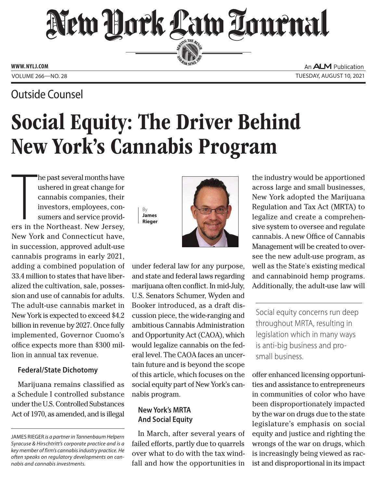# New Hork Law Lournal SERVING THE BEA

**ED BAR SINCE 188** 

**www. NYLJ.com**

Outside Counsel

An **ALM** Publication VOLUME 266—NO. 28 TUESDAY, AUGUST 10, 2021

# Social Equity: The Driver Behind New York's Cannabis Program

The past several months have<br>ushered in great change for<br>cannabis companies, their<br>investors, employees, con-<br>sumers and service provid-<br>ers in the Northeast. New Jersey, he past several months have ushered in great change for cannabis companies, their investors, employees, consumers and service provid-New York and Connecticut have, in succession, approved adult-use cannabis programs in early 2021, adding a combined population of 33.4 million to states that have liberalized the cultivation, sale, possession and use of cannabis for adults. The adult-use cannabis market in New York is expected to exceed \$4.2 billion in revenue by 2027. Once fully implemented, Governor Cuomo's office expects more than \$300 million in annual tax revenue.

#### **Federal/State Dichotomy**

Marijuana remains classified as a Schedule I controlled substance under the U.S. Controlled Substances Act of 1970, as amended, and is illegal





under federal law for any purpose, and state and federal laws regarding marijuana often conflict. In mid-July, U.S. Senators Schumer, Wyden and Booker introduced, as a draft discussion piece, the wide-ranging and ambitious Cannabis Administration and Opportunity Act (CAOA), which would legalize cannabis on the federal level. The CAOA faces an uncertain future and is beyond the scope of this article, which focuses on the social equity part of New York's cannabis program.

## **New York's MRTA And Social Equity**

In March, after several years of failed efforts, partly due to quarrels over what to do with the tax windfall and how the opportunities in

the industry would be apportioned across large and small businesses, New York adopted the Marijuana Regulation and Tax Act (MRTA) to legalize and create a comprehensive system to oversee and regulate cannabis. A new Office of Cannabis Management will be created to oversee the new adult-use program, as well as the State's existing medical and cannabinoid hemp programs. Additionally, the adult-use law will

Social equity concerns run deep throughout MRTA, resulting in legislation which in many ways is anti-big business and prosmall business.

offer enhanced licensing opportunities and assistance to entrepreneurs in communities of color who have been disproportionately impacted by the war on drugs due to the state legislature's emphasis on social equity and justice and righting the wrongs of the war on drugs, which is increasingly being viewed as racist and disproportional in its impact

James Rieger *is a partner in Tannenbaum Helpern [Syracuse & Hirschtritt's corporate practice and is a](ncanter@McLaughlinstern.com)  key member of firm's cannabis industry practice. He often speaks on regulatory developments on cannabis and cannabis investments.*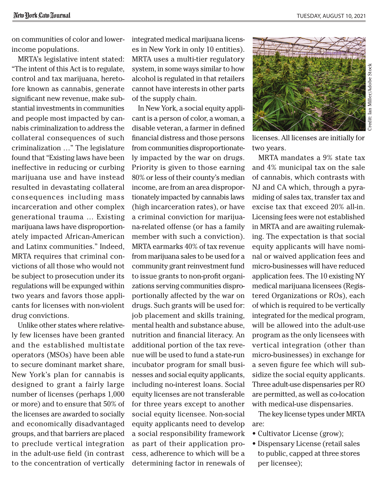on communities of color and lowerincome populations.

MRTA's legislative intent stated: "The intent of this Act is to regulate, control and tax marijuana, heretofore known as cannabis, generate significant new revenue, make substantial investments in communities and people most impacted by cannabis criminalization to address the collateral consequences of such criminalization …" The legislature found that "Existing laws have been ineffective in reducing or curbing marijuana use and have instead resulted in devastating collateral consequences including mass incarceration and other complex generational trauma … Existing marijuana laws have disproportionately impacted African-American and Latinx communities." Indeed, MRTA requires that criminal convictions of all those who would not be subject to prosecution under its regulations will be expunged within two years and favors those applicants for licenses with non-violent drug convictions.

Unlike other states where relatively few licenses have been granted and the established multistate operators (MSOs) have been able to secure dominant market share, New York's plan for cannabis is designed to grant a fairly large number of licenses (perhaps 1,000 or more) and to ensure that 50% of the licenses are awarded to socially and economically disadvantaged groups, and that barriers are placed to preclude vertical integration in the adult-use field (in contrast to the concentration of vertically integrated medical marijuana licenses in New York in only 10 entities). MRTA uses a multi-tier regulatory system, in some ways similar to how alcohol is regulated in that retailers cannot have interests in other parts of the supply chain.

In New York, a social equity applicant is a person of color, a woman, a disable veteran, a farmer in defined financial distress and those persons from communities disproportionately impacted by the war on drugs. Priority is given to those earning 80% or less of their county's median income, are from an area disproportionately impacted by cannabis laws (high incarceration rates), or have a criminal conviction for marijuana-related offense (or has a family member with such a conviction). MRTA earmarks 40% of tax revenue from marijuana sales to be used for a community grant reinvestment fund to issue grants to non-profit organizations serving communities disproportionally affected by the war on drugs. Such grants will be used for: job placement and skills training, mental health and substance abuse, nutrition and financial literacy. An additional portion of the tax revenue will be used to fund a state-run incubator program for small businesses and social equity applicants, including no-interest loans. Social equity licenses are not transferable for three years except to another social equity licensee. Non-social equity applicants need to develop a social responsibility framework as part of their application process, adherence to which will be a determining factor in renewals of



licenses. All licenses are initially for two years.

MRTA mandates a 9% state tax and 4% municipal tax on the sale of cannabis, which contrasts with NJ and CA which, through a pyramiding of sales tax, transfer tax and excise tax that exceed 20% all-in. Licensing fees were not established in MRTA and are awaiting rulemaking. The expectation is that social equity applicants will have nominal or waived application fees and micro-businesses will have reduced application fees. The 10 existing NY medical marijuana licensees (Registered Organizations or ROs), each of which is required to be vertically integrated for the medical program, will be allowed into the adult-use program as the only licensees with vertical integration (other than micro-businesses) in exchange for a seven figure fee which will subsidize the social equity applicants. Three adult-use dispensaries per RO are permitted, as well as co-location with medical-use dispensaries.

The key license types under MRTA are:

- Cultivator License (grow);
- Dispensary License (retail sales to public, capped at three stores per licensee);